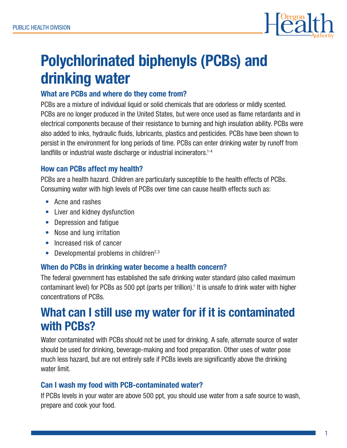

# Polychlorinated biphenyls (PCBs) and drinking water

### What are PCBs and where do they come from?

PCBs are a mixture of individual liquid or solid chemicals that are odorless or mildly scented. PCBs are no longer produced in the United States, but were once used as flame retardants and in electrical components because of their resistance to burning and high insulation ability. PCBs were also added to inks, hydraulic fluids, lubricants, plastics and pesticides. PCBs have been shown to persist in the environment for long periods of time. PCBs can enter drinking water by runoff from landfills or industrial waste discharge or industrial incinerators.<sup>1-4</sup>

#### How can PCBs affect my health?

PCBs are a health hazard. Children are particularly susceptible to the health effects of PCBs. Consuming water with high levels of PCBs over time can cause health effects such as:

- Acne and rashes
- Liver and kidney dysfunction
- Depression and fatique
- Nose and lung irritation
- Increased risk of cancer
- Developmental problems in children<sup>2,3</sup>

#### When do PCBs in drinking water become a health concern?

The federal government has established the safe drinking water standard (also called maximum contaminant level) for PCBs as 500 ppt (parts per trillion).<sup>1</sup> It is unsafe to drink water with higher concentrations of PCBs.

## What can I still use my water for if it is contaminated with PCBs?

Water contaminated with PCBs should not be used for drinking. A safe, alternate source of water should be used for drinking, beverage-making and food preparation. Other uses of water pose much less hazard, but are not entirely safe if PCBs levels are significantly above the drinking water limit.

#### Can I wash my food with PCB-contaminated water?

If PCBs levels in your water are above 500 ppt, you should use water from a safe source to wash, prepare and cook your food.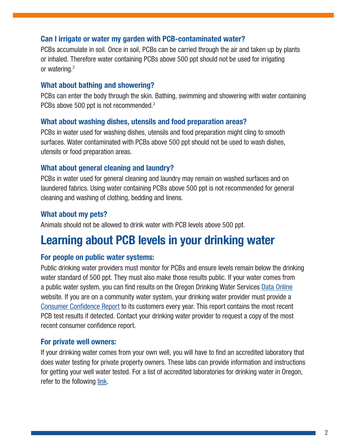#### Can I irrigate or water my garden with PCB-contaminated water?

PCBs accumulate in soil. Once in soil, PCBs can be carried through the air and taken up by plants or inhaled. Therefore water containing PCBs above 500 ppt should not be used for irrigating or watering.2

#### What about bathing and showering?

PCBs can enter the body through the skin. Bathing, swimming and showering with water containing PCBs above 500 ppt is not recommended.<sup>2</sup>

#### What about washing dishes, utensils and food preparation areas?

PCBs in water used for washing dishes, utensils and food preparation might cling to smooth surfaces. Water contaminated with PCBs above 500 ppt should not be used to wash dishes, utensils or food preparation areas.

#### What about general cleaning and laundry?

PCBs in water used for general cleaning and laundry may remain on washed surfaces and on laundered fabrics. Using water containing PCBs above 500 ppt is not recommended for general cleaning and washing of clothing, bedding and linens.

#### What about my pets?

Animals should not be allowed to drink water with PCB levels above 500 ppt.

# Learning about PCB levels in your drinking water

#### For people on public water systems:

Public drinking water providers must monitor for PCBs and ensure levels remain below the drinking water standard of 500 ppt. They must also make those results public. If your water comes from a public water system, you can find results on the Oregon Drinking Water Services [Data Online](https://yourwater.oregon.gov/) website. If you are on a community water system, your drinking water provider must provide a [Consumer Confidence Report](http://public.health.oregon.gov/HealthyEnvironments/DrinkingWater/Monitoring/Pages/ccr.aspx) to its customers every year. This report contains the most recent PCB test results if detected. Contact your drinking water provider to request a copy of the most recent consumer confidence report.

#### For private well owners:

If your drinking water comes from your own well, you will have to find an accredited laboratory that does water testing for private property owners. These labs can provide information and instructions for getting your well water tested. For a list of accredited laboratories for drinking water in Oregon, refer to the following [link.](http://public.health.oregon.gov/LaboratoryServices/EnvironmentalLaboratoryAccreditation/Documents/AllLabsDWMatrix.pdf)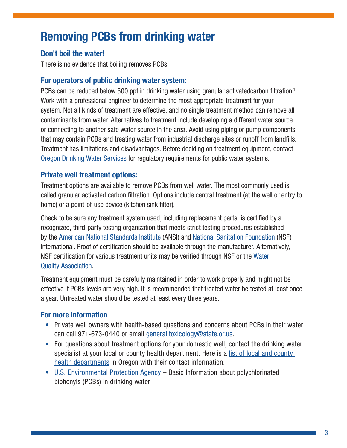# Removing PCBs from drinking water

### Don't boil the water!

There is no evidence that boiling removes PCBs.

#### For operators of public drinking water system:

PCBs can be reduced below 500 ppt in drinking water using granular activatedcarbon filtration.<sup>1</sup> Work with a professional engineer to determine the most appropriate treatment for your system. Not all kinds of treatment are effective, and no single treatment method can remove all contaminants from water. Alternatives to treatment include developing a different water source or connecting to another safe water source in the area. Avoid using piping or pump components that may contain PCBs and treating water from industrial discharge sites or runoff from landfills. Treatment has limitations and disadvantages. Before deciding on treatment equipment, contact [Oregon Drinking Water Services](http://public.health.oregon.gov/HEALTHYENVIRONMENTS/DRINKINGWATER/Pages/index.aspx) for regulatory requirements for public water systems.

#### Private well treatment options:

Treatment options are available to remove PCBs from well water. The most commonly used is called granular activated carbon filtration. Options include central treatment (at the well or entry to home) or a point-of-use device (kitchen sink filter).

Check to be sure any treatment system used, including replacement parts, is certified by a recognized, third-party testing organization that meets strict testing procedures established by the [American National Standards Institute \(A](http://ansi.org/)NSI) and [National Sanitation Foundation](http://nsf.org/) (NSF) International. Proof of certification should be available through the manufacturer. Alternatively, NSF certification for various treatment units may be verified through NSF or the [Water](http://www.wqa.org/)  [Quality Association.](http://www.wqa.org/)

Treatment equipment must be carefully maintained in order to work properly and might not be effective if PCBs levels are very high. It is recommended that treated water be tested at least once a year. Untreated water should be tested at least every three years.

### For more information

- Private well owners with health-based questions and concerns about PCBs in their water can call 971-673-0440 or email [general.toxicology@state.or.us](mailto:general.toxicology@state.or.us).
- For questions about treatment options for your domestic well, contact the drinking water specialist at your local or county health department. Here is a [list of local and county](https://public.health.oregon.gov/ProviderPartnerResources/LocalHealthDepartmentResources/Pages/lhd.aspx)  [health departments](https://public.health.oregon.gov/ProviderPartnerResources/LocalHealthDepartmentResources/Pages/lhd.aspx) in Oregon with their contact information.
- [U.S. Environmental Protection Agency B](http://water.epa.gov/drink/contaminants/basicinformation/polychlorinated-biphenyls.cfm)asic Information about polychlorinated biphenyls (PCBs) in drinking water